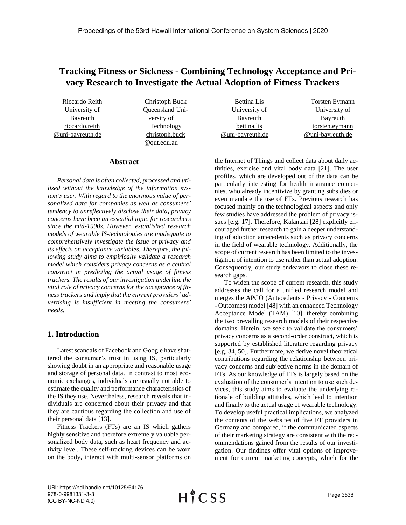# **Tracking Fitness or Sickness - Combining Technology Acceptance and Privacy Research to Investigate the Actual Adoption of Fitness Trackers**

Riccardo Reith University of Bayreuth [riccardo.reith](mailto:riccardo.reith@uni-bayreuth.de) [@uni-bayreuth.de](mailto:riccardo.reith@uni-bayreuth.de)

Christoph Buck Queensland University of Technology christoph.buck @qut.edu.au

| <b>Bettina Lis</b> | <b>Torsten Eymann</b> |
|--------------------|-----------------------|
| University of      | University of         |
| Bayreuth           | Bayreuth              |
| bettina.lis        | torsten.eymann        |
| @uni-bayreuth.de   | @uni-bayreuth.de      |
|                    |                       |

# **Abstract**

*Personal data is often collected, processed and utilized without the knowledge of the information system's user. With regard to the enormous value of personalized data for companies as well as consumers' tendency to unreflectively disclose their data, privacy concerns have been an essential topic for researchers since the mid-1990s. However, established research models of wearable IS-technologies are inadequate to comprehensively investigate the issue of privacy and its effects on acceptance variables. Therefore, the following study aims to empirically validate a research model which considers privacy concerns as a central construct in predicting the actual usage of fitness trackers. The results of our investigation underline the vital role of privacy concerns for the acceptance of fitness trackers and imply that the current providers' advertising is insufficient in meeting the consumers' needs.*

# **1. Introduction**

Latest scandals of Facebook and Google have shattered the consumer's trust in using IS, particularly showing doubt in an appropriate and reasonable usage and storage of personal data. In contrast to most economic exchanges, individuals are usually not able to estimate the quality and performance characteristics of the IS they use. Nevertheless, research reveals that individuals are concerned about their privacy and that they are cautious regarding the collection and use of their personal data [13].

Fitness Trackers (FTs) are an IS which gathers highly sensitive and therefore extremely valuable personalized body data, such as heart frequency and activity level. These self-tracking devices can be worn on the body, interact with multi-sensor platforms on

the Internet of Things and collect data about daily activities, exercise and vital body data [21]. The user profiles, which are developed out of the data can be particularly interesting for health insurance companies, who already incentivize by granting subsidies or even mandate the use of FTs. Previous research has focused mainly on the technological aspects and only few studies have addressed the problem of privacy issues [e.g. 17]. Therefore, Kalantari [28] explicitly encouraged further research to gain a deeper understanding of adoption antecedents such as privacy concerns in the field of wearable technology. Additionally, the scope of current research has been limited to the investigation of intention to use rather than actual adoption. Consequently, our study endeavors to close these research gaps.

To widen the scope of current research, this study addresses the call for a unified research model and merges the APCO (Antecedents - Privacy - Concerns - Outcomes) model [48] with an enhanced Technology Acceptance Model (TAM) [10], thereby combining the two prevailing research models of their respective domains. Herein, we seek to validate the consumers' privacy concerns as a second-order construct, which is supported by established literature regarding privacy [e.g. 34, 50]. Furthermore, we derive novel theoretical contributions regarding the relationship between privacy concerns and subjective norms in the domain of FTs. As our knowledge of FTs is largely based on the evaluation of the consumer's intention to use such devices, this study aims to evaluate the underlying rationale of building attitudes, which lead to intention and finally to the actual usage of wearable technology. To develop useful practical implications, we analyzed the contents of the websites of five FT providers in Germany and compared, if the communicated aspects of their marketing strategy are consistent with the recommendations gained from the results of our investigation. Our findings offer vital options of improvement for current marketing concepts, which for the

URI: https://hdl.handle.net/10125/64176 978-0-9981331-3-3 (CC BY-NC-ND 4.0)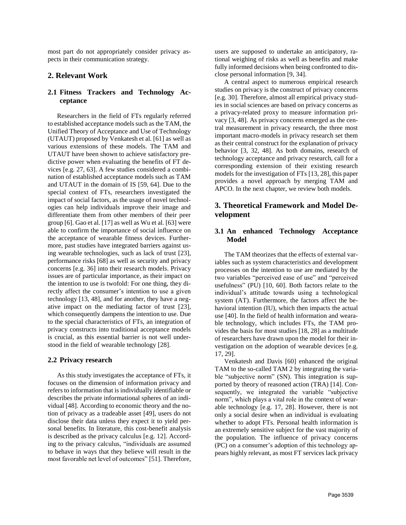most part do not appropriately consider privacy aspects in their communication strategy.

# **2. Relevant Work**

# **2.1 Fitness Trackers and Technology Acceptance**

Researchers in the field of FTs regularly referred to established acceptance models such as the TAM, the Unified Theory of Acceptance and Use of Technology (UTAUT) proposed by Venkatesh et al. [61] as well as various extensions of these models. The TAM and UTAUT have been shown to achieve satisfactory predictive power when evaluating the benefits of FT devices [e.g. 27, 63]. A few studies considered a combination of established acceptance models such as TAM and UTAUT in the domain of IS [59, 64]. Due to the special context of FTs, researchers investigated the impact of social factors, as the usage of novel technologies can help individuals improve their image and differentiate them from other members of their peer group [6]. Gao et al. [17] as well as Wu et al. [63] were able to confirm the importance of social influence on the acceptance of wearable fitness devices. Furthermore, past studies have integrated barriers against using wearable technologies, such as lack of trust [23], performance risks [68] as well as security and privacy concerns [e.g. 36] into their research models. Privacy issues are of particular importance, as their impact on the intention to use is twofold: For one thing, they directly affect the consumer's intention to use a given technology [13, 48], and for another, they have a negative impact on the mediating factor of trust [23], which consequently dampens the intention to use. Due to the special characteristics of FTs, an integration of privacy constructs into traditional acceptance models is crucial, as this essential barrier is not well understood in the field of wearable technology [28].

# **2.2 Privacy research**

As this study investigates the acceptance of FTs, it focuses on the dimension of information privacy and refers to information that is individually identifiable or describes the private informational spheres of an individual [48]. According to economic theory and the notion of privacy as a tradeable asset [49], users do not disclose their data unless they expect it to yield personal benefits. In literature, this cost-benefit analysis is described as the privacy calculus [e.g. 12]. According to the privacy calculus, "individuals are assumed to behave in ways that they believe will result in the most favorable net level of outcomes" [51]. Therefore, users are supposed to undertake an anticipatory, rational weighing of risks as well as benefits and make fully informed decisions when being confronted to disclose personal information [9, 34].

A central aspect to numerous empirical research studies on privacy is the construct of privacy concerns [e.g. 30]. Therefore, almost all empirical privacy studies in social sciences are based on privacy concerns as a privacy-related proxy to measure information privacy [3, 48]. As privacy concerns emerged as the central measurement in privacy research, the three most important macro-models in privacy research set them as their central construct for the explanation of privacy behavior [3, 32, 48]. As both domains, research of technology acceptance and privacy research, call for a corresponding extension of their existing research models for the investigation of FTs [13, 28], this paper provides a novel approach by merging TAM and APCO. In the next chapter, we review both models.

# **3. Theoretical Framework and Model Development**

# **3.1 An enhanced Technology Acceptance Model**

The TAM theorizes that the effects of external variables such as system characteristics and development processes on the intention to use are mediated by the two variables "perceived ease of use" and "perceived usefulness" (PU) [10, 60]. Both factors relate to the individual's attitude towards using a technological system (AT). Furthermore, the factors affect the behavioral intention (IU), which then impacts the actual use [40]. In the field of health information and wearable technology, which includes FTs, the TAM provides the basis for most studies [18, 28] as a multitude of researchers have drawn upon the model for their investigation on the adoption of wearable devices [e.g. 17, 29].

Venkatesh and Davis [60] enhanced the original TAM to the so-called TAM 2 by integrating the variable "subjective norm" (SN). This integration is supported by theory of reasoned action (TRA) [14]. Consequently, we integrated the variable "subjective norm", which plays a vital role in the context of wearable technology [e.g. 17, 28]. However, there is not only a social desire when an individual is evaluating whether to adopt FTs. Personal health information is an extremely sensitive subject for the vast majority of the population. The influence of privacy concerns (PC) on a consumer's adoption of this technology appears highly relevant, as most FT services lack privacy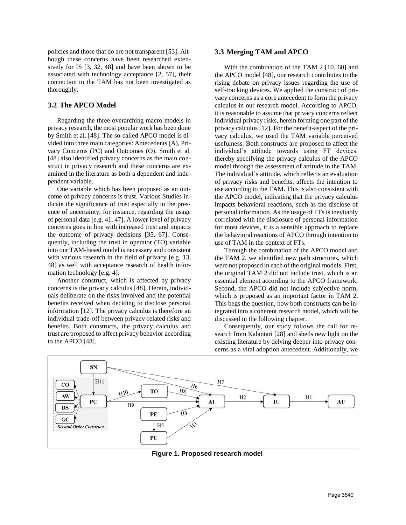policies and those that do are not transparent [53]. Although these concerns have been researched extensively for IS [3, 32, 48] and have been shown to be associated with technology acceptance [2, 57], their connection to the TAM has not been investigated as thoroughly.

# **3.2 The APCO Model**

Regarding the three overarching macro models in privacy research, the most popular work has been done by Smith et al. [48]. The so-called APCO model is divided into three main categories: Antecedents (A), Privacy Concerns (PC) and Outcomes (O). Smith et al. [48] also identified privacy concerns as the main construct in privacy research and these concerns are examined in the literature as both a dependent and independent variable.

One variable which has been proposed as an outcome of privacy concerns is trust. Various Studies indicate the significance of trust especially in the presence of uncertainty, for instance, regarding the usage of personal data [e.g. 41, 47]. A lower level of privacy concerns goes in line with increased trust and impacts the outcome of privacy decisions [35, 67]. Consequently, including the trust in operator (TO) variable into our TAM-based model is necessary and consistent with various research in the field of privacy [e.g. 13, 48] as well with acceptance research of health information technology [e.g. 4].

Another construct, which is affected by privacy concerns is the privacy calculus [48]. Herein, individuals deliberate on the risks involved and the potential benefits received when deciding to disclose personal information [12]. The privacy calculus is therefore an individual trade-off between privacy-related risks and benefits. Both constructs, the privacy calculus and trust are proposed to affect privacy behavior according to the APCO [48].

### **3.3 Merging TAM and APCO**

With the combination of the TAM 2 [10, 60] and the APCO model [48], our research contributes to the rising debate on privacy issues regarding the use of self-tracking devices. We applied the construct of privacy concerns as a core antecedent to form the privacy calculus in our research model. According to APCO, it is reasonable to assume that privacy concerns reflect individual privacy risks, herein forming one part of the privacy calculus [12]. For the benefit-aspect of the privacy calculus, we used the TAM variable perceived usefulness. Both constructs are proposed to affect the individual's attitude towards using FT devices, thereby specifying the privacy calculus of the APCO model through the assessment of attitude in the TAM. The individual's attitude, which reflects an evaluation of privacy risks and benefits, affects the intention to use according to the TAM. This is also consistent with the APCO model, indicating that the privacy calculus impacts behavioral reactions, such as the disclose of personal information. As the usage of FTs is inevitably correlated with the disclosure of personal information for most devices, it is a sensible approach to replace the behavioral reactions of APCO through intention to use of TAM in the context of FTs.

Through the combination of the APCO model and the TAM 2, we identified new path structures, which were not proposed in each of the original models. First, the original TAM 2 did not include trust, which is an essential element according to the APCO framework. Second, the APCO did not include subjective norm, which is proposed as an important factor in TAM 2. This begs the question, how both constructs can be integrated into a coherent research model, which will be discussed in the following chapter.

Consequently, our study follows the call for research from Kalantari [28] and sheds new light on the existing literature by delving deeper into privacy concerns as a vital adoption antecedent. Additionally, we



**Figure 1. Proposed research model**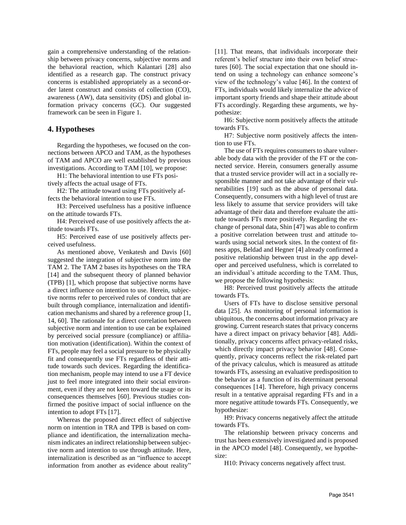gain a comprehensive understanding of the relationship between privacy concerns, subjective norms and the behavioral reaction, which Kalantari [28] also identified as a research gap. The construct privacy concerns is established appropriately as a second-order latent construct and consists of collection (CO), awareness (AW), data sensitivity (DS) and global information privacy concerns (GC). Our suggested framework can be seen in Figure 1.

### **4. Hypotheses**

Regarding the hypotheses, we focused on the connections between APCO and TAM, as the hypotheses of TAM and APCO are well established by previous investigations. According to TAM [10], we propose:

H1: The behavioral intention to use FTs positively affects the actual usage of FTs.

H2: The attitude toward using FTs positively affects the behavioral intention to use FTs.

H3: Perceived usefulness has a positive influence on the attitude towards FTs.

H4: Perceived ease of use positively affects the attitude towards FTs.

H5: Perceived ease of use positively affects perceived usefulness.

As mentioned above, Venkatesh and Davis [60] suggested the integration of subjective norm into the TAM 2. The TAM 2 bases its hypotheses on the TRA [14] and the subsequent theory of planned behavior (TPB) [1], which propose that subjective norms have a direct influence on intention to use. Herein, subjective norms refer to perceived rules of conduct that are built through compliance, internalization and identification mechanisms and shared by a reference group [1, 14, 60]. The rationale for a direct correlation between subjective norm and intention to use can be explained by perceived social pressure (compliance) or affiliation motivation (identification). Within the context of FTs, people may feel a social pressure to be physically fit and consequently use FTs regardless of their attitude towards such devices. Regarding the identification mechanism, people may intend to use a FT device just to feel more integrated into their social environment, even if they are not keen toward the usage or its consequences themselves [60]. Previous studies confirmed the positive impact of social influence on the intention to adopt FTs [17].

Whereas the proposed direct effect of subjective norm on intention in TRA and TPB is based on compliance and identification, the internalization mechanism indicates an indirect relationship between subjective norm and intention to use through attitude. Here, internalization is described as an "influence to accept information from another as evidence about reality"

[11]. That means, that individuals incorporate their referent's belief structure into their own belief structures [60]. The social expectation that one should intend on using a technology can enhance someone's view of the technology's value [46]. In the context of FTs, individuals would likely internalize the advice of important sporty friends and shape their attitude about FTs accordingly. Regarding these arguments, we hypothesize:

H6: Subjective norm positively affects the attitude towards FTs.

H7: Subjective norm positively affects the intention to use FTs.

The use of FTs requires consumers to share vulnerable body data with the provider of the FT or the connected service. Herein, consumers generally assume that a trusted service provider will act in a socially responsible manner and not take advantage of their vulnerabilities [19] such as the abuse of personal data. Consequently, consumers with a high level of trust are less likely to assume that service providers will take advantage of their data and therefore evaluate the attitude towards FTs more positively. Regarding the exchange of personal data, Shin [47] was able to confirm a positive correlation between trust and attitude towards using social network sites. In the context of fitness apps, Beldad and Hegner [4] already confirmed a positive relationship between trust in the app developer and perceived usefulness, which is correlated to an individual's attitude according to the TAM. Thus, we propose the following hypothesis:

H8: Perceived trust positively affects the attitude towards FTs.

Users of FTs have to disclose sensitive personal data [25]. As monitoring of personal information is ubiquitous, the concerns about information privacy are growing. Current research states that privacy concerns have a direct impact on privacy behavior [48]. Additionally, privacy concerns affect privacy-related risks, which directly impact privacy behavior [48]. Consequently, privacy concerns reflect the risk-related part of the privacy calculus, which is measured as attitude towards FTs, assessing an evaluative predisposition to the behavior as a function of its determinant personal consequences [14]. Therefore, high privacy concerns result in a tentative appraisal regarding FTs and in a more negative attitude towards FTs. Consequently, we hypothesize:

H9: Privacy concerns negatively affect the attitude towards FTs.

The relationship between privacy concerns and trust has been extensively investigated and is proposed in the APCO model [48]. Consequently, we hypothesize:

H10: Privacy concerns negatively affect trust.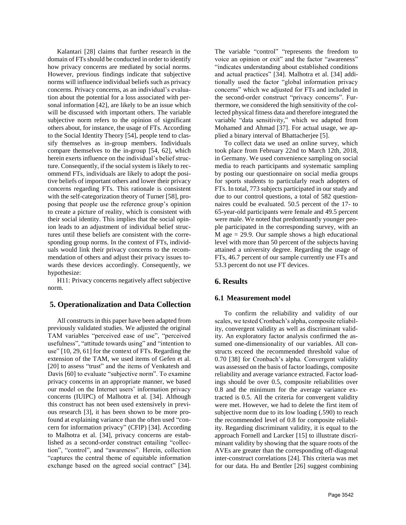Kalantari [28] claims that further research in the domain of FTs should be conducted in order to identify how privacy concerns are mediated by social norms. However, previous findings indicate that subjective norms will influence individual beliefs such as privacy concerns. Privacy concerns, as an individual's evaluation about the potential for a loss associated with personal information [42], are likely to be an issue which will be discussed with important others. The variable subjective norm refers to the opinion of significant others about, for instance, the usage of FTs. According to the Social Identity Theory [54], people tend to classify themselves as in-group members. Individuals compare themselves to the in-group [54, 62], which herein exerts influence on the individual's belief structure. Consequently, if the social system is likely to recommend FTs, individuals are likely to adopt the positive beliefs of important others and lower their privacy concerns regarding FTs. This rationale is consistent with the self-categorization theory of Turner [58], proposing that people use the reference group's opinion to create a picture of reality, which is consistent with their social identity. This implies that the social opinion leads to an adjustment of individual belief structures until these beliefs are consistent with the corresponding group norms. In the context of FTs, individuals would link their privacy concerns to the recommendation of others and adjust their privacy issues towards these devices accordingly. Consequently, we hypothesize:

H11: Privacy concerns negatively affect subjective norm.

# **5. Operationalization and Data Collection**

All constructs in this paper have been adapted from previously validated studies. We adjusted the original TAM variables "perceived ease of use", "perceived usefulness", "attitude towards using" and "intention to use" [10, 29, 61] for the context of FTs. Regarding the extension of the TAM, we used items of Gefen et al. [20] to assess "trust" and the items of Venkatesh and Davis [60] to evaluate "subjective norm". To examine privacy concerns in an appropriate manner, we based our model on the Internet users' information privacy concerns (IUIPC) of Malhotra et al. [34]. Although this construct has not been used extensively in previous research [3], it has been shown to be more profound at explaining variance than the often used "concern for information privacy" (CFIP) [34]. According to Malhotra et al. [34], privacy concerns are established as a second-order construct entailing "collection", "control", and "awareness". Herein, collection "captures the central theme of equitable information exchange based on the agreed social contract" [34]. The variable "control" "represents the freedom to voice an opinion or exit" and the factor "awareness" "indicates understanding about established conditions and actual practices" [34]. Malhotra et al. [34] additionally used the factor "global information privacy concerns" which we adjusted for FTs and included in the second-order construct "privacy concerns". Furthermore, we considered the high sensitivity of the collected physical fitness data and therefore integrated the variable "data sensitivity," which we adapted from Mohamed and Ahmad [37]. For actual usage, we applied a binary interval of Bhattacherjee [5].

To collect data we used an online survey, which took place from February 22nd to March 12th, 2018, in Germany. We used convenience sampling on social media to reach participants and systematic sampling by posting our questionnaire on social media groups for sports students to particularly reach adopters of FTs. In total, 773 subjects participated in our study and due to our control questions, a total of 582 questionnaires could be evaluated. 50.5 percent of the 17- to 65-year-old participants were female and 49.5 percent were male. We noted that predominantly younger people participated in the corresponding survey, with an  $M$  age  $= 29.9$ . Our sample shows a high educational level with more than 50 percent of the subjects having attained a university degree. Regarding the usage of FTs, 46.7 percent of our sample currently use FTs and 53.3 percent do not use FT devices.

# **6. Results**

# **6.1 Measurement model**

To confirm the reliability and validity of our scales, we tested Cronbach's alpha, composite reliability, convergent validity as well as discriminant validity. An exploratory factor analysis confirmed the assumed one-dimensionality of our variables. All constructs exceed the recommended threshold value of 0.70 [38] for Cronbach's alpha. Convergent validity was assessed on the basis of factor loadings, composite reliability and average variance extracted. Factor loadings should be over 0.5, composite reliabilities over 0.8 and the minimum for the average variance extracted is 0.5. All the criteria for convergent validity were met. However, we had to delete the first item of subjective norm due to its low loading (.590) to reach the recommended level of 0.8 for composite reliability. Regarding discriminant validity, it is equal to the approach Fornell and Larcker [15] to illustrate discriminant validity by showing that the square roots of the AVEs are greater than the corresponding off-diagonal inter-construct correlations [24]. This criteria was met for our data. Hu and Bentler [26] suggest combining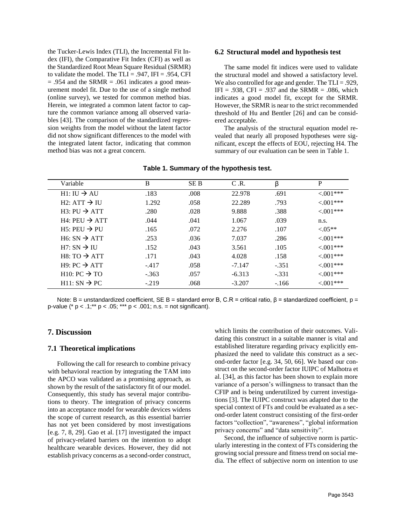the Tucker-Lewis Index (TLI), the Incremental Fit Index (IFI), the Comparative Fit Index (CFI) as well as the Standardized Root Mean Square Residual (SRMR) to validate the model. The TLI = .947, IFI = .954, CFI  $= .954$  and the SRMR  $= .061$  indicates a good measurement model fit. Due to the use of a single method (online survey), we tested for common method bias. Herein, we integrated a common latent factor to capture the common variance among all observed variables [43]. The comparison of the standardized regression weights from the model without the latent factor did not show significant differences to the model with the integrated latent factor, indicating that common method bias was not a great concern.

#### **6.2 Structural model and hypothesis test**

The same model fit indices were used to validate the structural model and showed a satisfactory level. We also controlled for age and gender. The TLI = .929,  $IFI = .938$ ,  $CFI = .937$  and the SRMR = .086, which indicates a good model fit, except for the SRMR. However, the SRMR is near to the strict recommended threshold of Hu and Bentler [26] and can be considered acceptable.

The analysis of the structural equation model revealed that nearly all proposed hypotheses were significant, except the effects of EOU, rejecting H4. The summary of our evaluation can be seen in Table 1.

| Variable                 | B       | <b>SEB</b> | C.R.     | β       | P          |
|--------------------------|---------|------------|----------|---------|------------|
| $HI: III \rightarrow AU$ | .183    | .008       | 22.978   | .691    | $<001***$  |
| $H2: ATT \rightarrow H1$ | 1.292   | .058       | 22.289   | .793    | $< 001***$ |
| $H3: PU \rightarrow ATT$ | .280    | .028       | 9.888    | .388    | $< 001***$ |
| $H4:PEU \rightarrow ATT$ | .044    | .041       | 1.067    | .039    | n.s.       |
| $H5:PEU \rightarrow PU$  | .165    | .072       | 2.276    | .107    | $< 0.05**$ |
| $H6: SN \rightarrow ATT$ | .253    | .036       | 7.037    | .286    | $<001***$  |
| $H7: SN \rightarrow H1$  | .152    | .043       | 3.561    | .105    | $<001***$  |
| $HS: TO \rightarrow ATT$ | .171    | .043       | 4.028    | .158    | $<001***$  |
| $H9: PC \rightarrow ATT$ | $-.417$ | .058       | $-7.147$ | $-.351$ | $< 001***$ |
| $H10: PC \rightarrow TO$ | $-.363$ | .057       | $-6.313$ | $-.331$ | $< 001***$ |
| $H11: SN \rightarrow PC$ | $-.219$ | .068       | $-3.207$ | $-166$  | $< 001***$ |

### **Table 1. Summary of the hypothesis test.**

Note: B = unstandardized coefficient, SE B = standard error B, C.R = critical ratio, β = standardized coefficient, p = p-value ( $* p < .1; ** p < .05; *** p < .001; n.s. = not significant$ ).

# **7. Discussion**

#### **7.1 Theoretical implications**

Following the call for research to combine privacy with behavioral reaction by integrating the TAM into the APCO was validated as a promising approach, as shown by the result of the satisfactory fit of our model. Consequently, this study has several major contributions to theory. The integration of privacy concerns into an acceptance model for wearable devices widens the scope of current research, as this essential barrier has not yet been considered by most investigations [e.g. 7, 8, 29]. Gao et al. [17] investigated the impact of privacy-related barriers on the intention to adopt healthcare wearable devices. However, they did not establish privacy concerns as a second-order construct, which limits the contribution of their outcomes. Validating this construct in a suitable manner is vital and established literature regarding privacy explicitly emphasized the need to validate this construct as a second-order factor [e.g. 34, 50, 66]. We based our construct on the second-order factor IUIPC of Malhotra et al. [34], as this factor has been shown to explain more variance of a person's willingness to transact than the CFIP and is being underutilized by current investigations [3]. The IUIPC construct was adapted due to the special context of FTs and could be evaluated as a second-order latent construct consisting of the first-order factors "collection", "awareness", "global information privacy concerns" and "data sensitivity".

Second, the influence of subjective norm is particularly interesting in the context of FTs considering the growing social pressure and fitness trend on social media. The effect of subjective norm on intention to use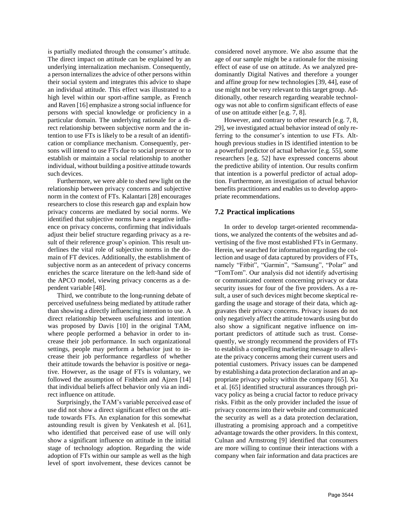is partially mediated through the consumer's attitude. The direct impact on attitude can be explained by an underlying internalization mechanism. Consequently, a person internalizes the advice of other persons within their social system and integrates this advice to shape an individual attitude. This effect was illustrated to a high level within our sport-affine sample, as French and Raven [16] emphasize a strong social influence for persons with special knowledge or proficiency in a particular domain. The underlying rationale for a direct relationship between subjective norm and the intention to use FTs is likely to be a result of an identification or compliance mechanism. Consequently, persons will intend to use FTs due to social pressure or to establish or maintain a social relationship to another individual, without building a positive attitude towards such devices.

Furthermore, we were able to shed new light on the relationship between privacy concerns and subjective norm in the context of FTs. Kalantari [28] encourages researchers to close this research gap and explain how privacy concerns are mediated by social norms. We identified that subjective norms have a negative influence on privacy concerns, confirming that individuals adjust their belief structure regarding privacy as a result of their reference group's opinion. This result underlines the vital role of subjective norms in the domain of FT devices. Additionally, the establishment of subjective norm as an antecedent of privacy concerns enriches the scarce literature on the left-hand side of the APCO model, viewing privacy concerns as a dependent variable [48].

Third, we contribute to the long-running debate of perceived usefulness being mediated by attitude rather than showing a directly influencing intention to use. A direct relationship between usefulness and intention was proposed by Davis [10] in the original TAM, where people performed a behavior in order to increase their job performance. In such organizational settings, people may perform a behavior just to increase their job performance regardless of whether their attitude towards the behavior is positive or negative. However, as the usage of FTs is voluntary, we followed the assumption of Fishbein and Ajzen [14] that individual beliefs affect behavior only via an indirect influence on attitude.

Surprisingly, the TAM's variable perceived ease of use did not show a direct significant effect on the attitude towards FTs. An explanation for this somewhat astounding result is given by Venkatesh et al. [61], who identified that perceived ease of use will only show a significant influence on attitude in the initial stage of technology adoption. Regarding the wide adoption of FTs within our sample as well as the high level of sport involvement, these devices cannot be

considered novel anymore. We also assume that the age of our sample might be a rationale for the missing effect of ease of use on attitude. As we analyzed predominantly Digital Natives and therefore a younger and affine group for new technologies [39, 44], ease of use might not be very relevant to this target group. Additionally, other research regarding wearable technology was not able to confirm significant effects of ease of use on attitude either [e.g. 7, 8].

However, and contrary to other research [e.g. 7, 8, 29], we investigated actual behavior instead of only referring to the consumer's intention to use FTs. Although previous studies in IS identified intention to be a powerful predictor of actual behavior [e.g. 55], some researchers [e.g. 52] have expressed concerns about the predictive ability of intention. Our results confirm that intention is a powerful predictor of actual adoption. Furthermore, an investigation of actual behavior benefits practitioners and enables us to develop appropriate recommendations.

# **7.2 Practical implications**

In order to develop target-oriented recommendations, we analyzed the contents of the websites and advertising of the five most established FTs in Germany. Herein, we searched for information regarding the collection and usage of data captured by providers of FTs, namely "Fitbit", "Garmin", "Samsung", "Polar" and "TomTom". Our analysis did not identify advertising or communicated content concerning privacy or data security issues for four of the five providers. As a result, a user of such devices might become skeptical regarding the usage and storage of their data, which aggravates their privacy concerns. Privacy issues do not only negatively affect the attitude towards using but do also show a significant negative influence on important predictors of attitude such as trust. Consequently, we strongly recommend the providers of FTs to establish a compelling marketing message to alleviate the privacy concerns among their current users and potential customers. Privacy issues can be dampened by establishing a data protection declaration and an appropriate privacy policy within the company [65]. Xu et al. [65] identified structural assurances through privacy policy as being a crucial factor to reduce privacy risks. Fitbit as the only provider included the issue of privacy concerns into their website and communicated the security as well as a data protection declaration, illustrating a promising approach and a competitive advantage towards the other providers. In this context, Culnan and Armstrong [9] identified that consumers are more willing to continue their interactions with a company when fair information and data practices are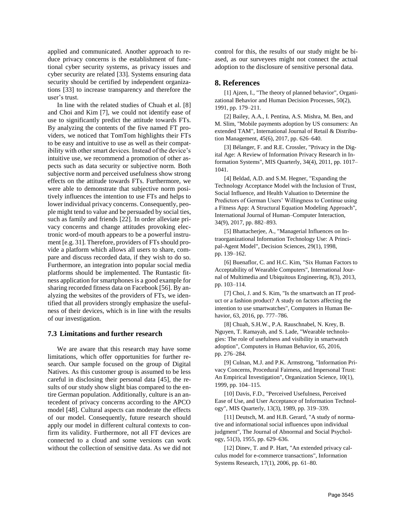applied and communicated. Another approach to reduce privacy concerns is the establishment of functional cyber security systems, as privacy issues and cyber security are related [33]. Systems ensuring data security should be certified by independent organizations [33] to increase transparency and therefore the user's trust.

In line with the related studies of Chuah et al. [8] and Choi and Kim [7], we could not identify ease of use to significantly predict the attitude towards FTs. By analyzing the contents of the five named FT providers, we noticed that TomTom highlights their FTs to be easy and intuitive to use as well as their compatibility with other smart devices. Instead of the device's intuitive use, we recommend a promotion of other aspects such as data security or subjective norm. Both subjective norm and perceived usefulness show strong effects on the attitude towards FTs. Furthermore, we were able to demonstrate that subjective norm positively influences the intention to use FTs and helps to lower individual privacy concerns. Consequently, people might tend to value and be persuaded by social ties, such as family and friends [22]. In order alleviate privacy concerns and change attitudes provoking electronic word-of mouth appears to be a powerful instrument [e.g. 31]. Therefore, providers of FTs should provide a platform which allows all users to share, compare and discuss recorded data, if they wish to do so. Furthermore, an integration into popular social media platforms should be implemented. The Runtastic fitness application for smartphones is a good example for sharing recorded fitness data on Facebook [56]. By analyzing the websites of the providers of FTs, we identified that all providers strongly emphasize the usefulness of their devices, which is in line with the results of our investigation.

#### **7.3 Limitations and further research**

We are aware that this research may have some limitations, which offer opportunities for further research. Our sample focused on the group of Digital Natives. As this customer group is assumed to be less careful in disclosing their personal data [45], the results of our study show slight bias compared to the entire German population. Additionally, culture is an antecedent of privacy concerns according to the APCO model [48]. Cultural aspects can moderate the effects of our model. Consequently, future research should apply our model in different cultural contexts to confirm its validity. Furthermore, not all FT devices are connected to a cloud and some versions can work without the collection of sensitive data. As we did not

control for this, the results of our study might be biased, as our surveyees might not connect the actual adoption to the disclosure of sensitive personal data.

### **8. References**

[1] Ajzen, I., "The theory of planned behavior", Organizational Behavior and Human Decision Processes, 50(2), 1991, pp. 179–211.

[2] Bailey, A.A., I. Pentina, A.S. Mishra, M. Ben, and M. Slim, "Mobile payments adoption by US consumers: An extended TAM", International Journal of Retail & Distribution Management, 45(6), 2017, pp. 626–640.

[3] Bélanger, F. and R.E. Crossler, "Privacy in the Digital Age: A Review of Information Privacy Research in Information Systems", MIS Quarterly, 34(4), 2011, pp. 1017– 1041.

[4] Beldad, A.D. and S.M. Hegner, "Expanding the Technology Acceptance Model with the Inclusion of Trust, Social Influence, and Health Valuation to Determine the Predictors of German Users' Willingness to Continue using a Fitness App: A Structural Equation Modeling Approach", International Journal of Human–Computer Interaction, 34(9), 2017, pp. 882–893.

[5] Bhattacherjee, A., "Managerial Influences on Intraorganizational Information Technology Use: A Principal-Agent Model", Decision Sciences, 29(1), 1998, pp. 139–162.

[6] Buenaflor, C. and H.C. Kim, "Six Human Factors to Acceptability of Wearable Computers", International Journal of Multimedia and Ubiquitous Engineering, 8(3), 2013, pp. 103–114.

[7] Choi, J. and S. Kim, "Is the smartwatch an IT product or a fashion product? A study on factors affecting the intention to use smartwatches", Computers in Human Behavior, 63, 2016, pp. 777–786.

[8] Chuah, S.H.W., P.A. Rauschnabel, N. Krey, B. Nguyen, T. Ramayah, and S. Lade, "Wearable technologies: The role of usefulness and visibility in smartwatch adoption", Computers in Human Behavior, 65, 2016, pp. 276–284.

[9] Culnan, M.J. and P.K. Armstrong, "Information Privacy Concerns, Procedural Fairness, and Impersonal Trust: An Empirical Investigation", Organization Science, 10(1), 1999, pp. 104–115.

[10] Davis, F.D., "Perceived Usefulness, Perceived Ease of Use, and User Acceptance of Information Technology", MIS Quarterly, 13(3), 1989, pp. 319–339.

[11] Deutsch, M. and H.B. Gerard, "A study of normative and informational social influences upon individual judgment", The Journal of Abnormal and Social Psychology, 51(3), 1955, pp. 629–636.

[12] Dinev, T. and P. Hart, "An extended privacy calculus model for e-commerce transactions", Information Systems Research, 17(1), 2006, pp. 61–80.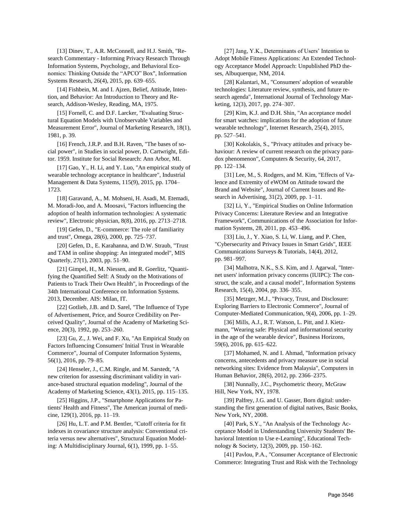[13] Dinev, T., A.R. McConnell, and H.J. Smith, "Research Commentary - Informing Privacy Research Through Information Systems, Psychology, and Behavioral Economics: Thinking Outside the "APCO" Box", Information Systems Research, 26(4), 2015, pp. 639–655.

[14] Fishbein, M. and I. Ajzen, Belief, Attitude, Intention, and Behavior: An Introduction to Theory and Research, Addison-Wesley, Reading, MA, 1975.

[15] Fornell, C. and D.F. Larcker, "Evaluating Structural Equation Models with Unobservable Variables and Measurement Error", Journal of Marketing Research, 18(1), 1981, p. 39.

[16] French, J.R.P. and B.H. Raven, "The bases of social power", in Studies in social power, D. Cartwright, Editor. 1959. Institute for Social Research: Ann Arbor, MI.

[17] Gao, Y., H. Li, and Y. Luo, "An empirical study of wearable technology acceptance in healthcare", Industrial Management & Data Systems, 115(9), 2015, pp. 1704– 1723.

[18] Garavand, A., M. Mohseni, H. Asadi, M. Etemadi, M. Moradi-Joo, and A. Moosavi, "Factors influencing the adoption of health information technologies: A systematic review", Electronic physician, 8(8), 2016, pp. 2713–2718.

[19] Gefen, D., "E-commerce: The role of familiarity and trust", Omega, 28(6), 2000, pp. 725–737.

[20] Gefen, D., E. Karahanna, and D.W. Straub, "Trust and TAM in online shopping: An integrated model", MIS Quarterly, 27(1), 2003, pp. 51–90.

[21] Gimpel, H., M. Niessen, and R. Goerlitz, "Quantifying the Quantified Self: A Study on the Motivations of Patients to Track Their Own Health", in Proceedings of the 34th International Conference on Information Systems. 2013, December. AIS: Milan, IT.

[22] Gotlieb, J.B. and D. Sarel, "The Influence of Type of Advertisement, Price, and Source Credibility on Perceived Quality", Journal of the Academy of Marketing Science, 20(3), 1992, pp. 253–260.

[23] Gu, Z., J. Wei, and F. Xu, "An Empirical Study on Factors Influencing Consumers' Initial Trust in Wearable Commerce", Journal of Computer Information Systems, 56(1), 2016, pp. 79–85.

[24] Henseler, J., C.M. Ringle, and M. Sarstedt, "A new criterion for assessing discriminant validity in variance-based structural equation modeling", Journal of the Academy of Marketing Science, 43(1), 2015, pp. 115–135.

[25] Higgins, J.P., "Smartphone Applications for Patients' Health and Fitness", The American journal of medicine, 129(1), 2016, pp. 11–19.

[26] Hu, L.T. and P.M. Bentler, "Cutoff criteria for fit indexes in covariance structure analysis: Conventional criteria versus new alternatives", Structural Equation Modeling: A Multidisciplinary Journal, 6(1), 1999, pp. 1–55.

[27] Jang, Y.K., Determinants of Users' Intention to Adopt Mobile Fitness Applications: An Extended Technology Acceptance Model Approach: Unpublished PhD theses, Albuquerque, NM, 2014.

[28] Kalantari, M., "Consumers' adoption of wearable technologies: Literature review, synthesis, and future research agenda", International Journal of Technology Marketing, 12(3), 2017, pp. 274–307.

[29] Kim, K.J. and D.H. Shin, "An acceptance model for smart watches: implications for the adoption of future wearable technology", Internet Research, 25(4), 2015, pp. 527–541.

[30] Kokolakis, S., "Privacy attitudes and privacy behaviour: A review of current research on the privacy paradox phenomenon", Computers & Security, 64, 2017, pp. 122–134.

[31] Lee, M., S. Rodgers, and M. Kim, "Effects of Valence and Extremity of eWOM on Attitude toward the Brand and Website", Journal of Current Issues and Research in Advertising, 31(2), 2009, pp. 1–11.

[32] Li, Y., "Empirical Studies on Online Information Privacy Concerns: Literature Review and an Integrative Framework", Communications of the Association for Information Systems, 28, 2011, pp. 453–496.

[33] Liu, J., Y. Xiao, S. Li, W. Liang, and P. Chen, "Cybersecurity and Privacy Issues in Smart Grids", IEEE Communications Surveys & Tutorials, 14(4), 2012, pp. 981–997.

[34] Malhotra, N.K., S.S. Kim, and J. Agarwal, "Internet users' information privacy concerns (IUIPC): The construct, the scale, and a causal model", Information Systems Research, 15(4), 2004, pp. 336–355.

[35] Metzger, M.J., "Privacy, Trust, and Disclosure: Exploring Barriers to Electronic Commerce", Journal of Computer-Mediated Communication, 9(4), 2006, pp. 1–29.

[36] Mills, A.J., R.T. Watson, L. Pitt, and J. Kietzmann, "Wearing safe: Physical and informational security in the age of the wearable device", Business Horizons, 59(6), 2016, pp. 615–622.

[37] Mohamed, N. and I. Ahmad, "Information privacy concerns, antecedents and privacy measure use in social networking sites: Evidence from Malaysia", Computers in Human Behavior, 28(6), 2012, pp. 2366–2375.

[38] Nunnally, J.C., Psychometric theory, McGraw Hill, New York, NY, 1978.

[39] Palfrey, J.G. and U. Gasser, Born digital: understanding the first generation of digital natives, Basic Books, New York, NY, 2008.

[40] Park, S.Y., "An Analysis of the Technology Acceptance Model in Understanding University Students' Behavioral Intention to Use e-Learning", Educational Technology & Society, 12(3), 2009, pp. 150–162.

[41] Pavlou, P.A., "Consumer Acceptance of Electronic Commerce: Integrating Trust and Risk with the Technology